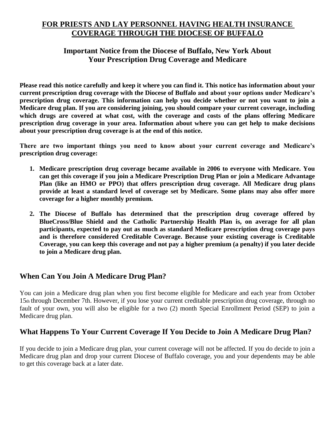# **FOR PRIESTS AND LAY PERSONNEL HAVING HEALTH INSURANCE COVERAGE THROUGH THE DIOCESE OF BUFFALO**

#### **Important Notice from the Diocese of Buffalo, New York About Your Prescription Drug Coverage and Medicare**

**Please read this notice carefully and keep it where you can find it. This notice has information about your current prescription drug coverage with the Diocese of Buffalo and about your options under Medicare's prescription drug coverage. This information can help you decide whether or not you want to join a Medicare drug plan. If you are considering joining, you should compare your current coverage, including which drugs are covered at what cost, with the coverage and costs of the plans offering Medicare prescription drug coverage in your area. Information about where you can get help to make decisions about your prescription drug coverage is at the end of this notice.**

**There are two important things you need to know about your current coverage and Medicare's prescription drug coverage:**

- **1. Medicare prescription drug coverage became available in 2006 to everyone with Medicare. You can get this coverage if you join a Medicare Prescription Drug Plan or join a Medicare Advantage Plan (like an HMO or PPO) that offers prescription drug coverage. All Medicare drug plans provide at least a standard level of coverage set by Medicare. Some plans may also offer more coverage for a higher monthly premium.**
- **2. The Diocese of Buffalo has determined that the prescription drug coverage offered by BlueCross/Blue Shield and the Catholic Partnership Health Plan is, on average for all plan participants, expected to pay out as much as standard Medicare prescription drug coverage pays and is therefore considered Creditable Coverage. Because your existing coverage is Creditable Coverage, you can keep this coverage and not pay a higher premium (a penalty) if you later decide to join a Medicare drug plan.**

### **When Can You Join A Medicare Drug Plan?**

You can join a Medicare drug plan when you first become eligible for Medicare and each year from October 15th through December 7th. However, if you lose your current creditable prescription drug coverage, through no fault of your own, you will also be eligible for a two (2) month Special Enrollment Period (SEP) to join a Medicare drug plan.

# **What Happens To Your Current Coverage If You Decide to Join A Medicare Drug Plan?**

If you decide to join a Medicare drug plan, your current coverage will not be affected. If you do decide to join a Medicare drug plan and drop your current Diocese of Buffalo coverage, you and your dependents may be able to get this coverage back at a later date.